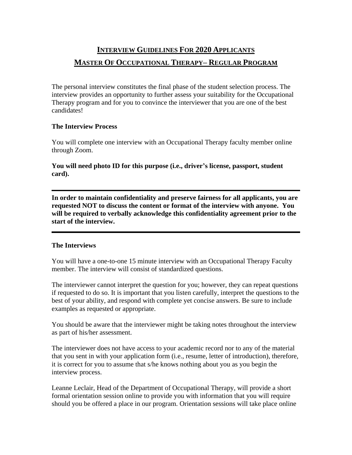## **INTERVIEW GUIDELINES FOR 2020 APPLICANTS MASTER OF OCCUPATIONAL THERAPY– REGULAR PROGRAM**

The personal interview constitutes the final phase of the student selection process. The interview provides an opportunity to further assess your suitability for the Occupational Therapy program and for you to convince the interviewer that you are one of the best candidates!

## **The Interview Process**

You will complete one interview with an Occupational Therapy faculty member online through Zoom.

**You will need photo ID for this purpose (i.e., driver's license, passport, student card).**

**In order to maintain confidentiality and preserve fairness for all applicants, you are requested NOT to discuss the content or format of the interview with anyone. You will be required to verbally acknowledge this confidentiality agreement prior to the start of the interview.**

## **The Interviews**

You will have a one-to-one 15 minute interview with an Occupational Therapy Faculty member. The interview will consist of standardized questions.

The interviewer cannot interpret the question for you; however, they can repeat questions if requested to do so. It is important that you listen carefully, interpret the questions to the best of your ability, and respond with complete yet concise answers. Be sure to include examples as requested or appropriate.

You should be aware that the interviewer might be taking notes throughout the interview as part of his/her assessment.

The interviewer does not have access to your academic record nor to any of the material that you sent in with your application form (i.e., resume, letter of introduction), therefore, it is correct for you to assume that s/he knows nothing about you as you begin the interview process.

Leanne Leclair, Head of the Department of Occupational Therapy, will provide a short formal orientation session online to provide you with information that you will require should you be offered a place in our program. Orientation sessions will take place online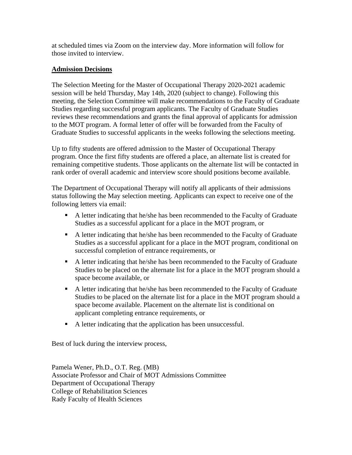at scheduled times via Zoom on the interview day. More information will follow for those invited to interview.

## **Admission Decisions**

The Selection Meeting for the Master of Occupational Therapy 2020-2021 academic session will be held Thursday, May 14th, 2020 (subject to change). Following this meeting, the Selection Committee will make recommendations to the Faculty of Graduate Studies regarding successful program applicants. The Faculty of Graduate Studies reviews these recommendations and grants the final approval of applicants for admission to the MOT program. A formal letter of offer will be forwarded from the Faculty of Graduate Studies to successful applicants in the weeks following the selections meeting.

Up to fifty students are offered admission to the Master of Occupational Therapy program. Once the first fifty students are offered a place, an alternate list is created for remaining competitive students. Those applicants on the alternate list will be contacted in rank order of overall academic and interview score should positions become available.

The Department of Occupational Therapy will notify all applicants of their admissions status following the May selection meeting. Applicants can expect to receive one of the following letters via email:

- A letter indicating that he/she has been recommended to the Faculty of Graduate Studies as a successful applicant for a place in the MOT program, or
- A letter indicating that he/she has been recommended to the Faculty of Graduate Studies as a successful applicant for a place in the MOT program, conditional on successful completion of entrance requirements, or
- A letter indicating that he/she has been recommended to the Faculty of Graduate Studies to be placed on the alternate list for a place in the MOT program should a space become available, or
- A letter indicating that he/she has been recommended to the Faculty of Graduate Studies to be placed on the alternate list for a place in the MOT program should a space become available. Placement on the alternate list is conditional on applicant completing entrance requirements, or
- A letter indicating that the application has been unsuccessful.

Best of luck during the interview process,

Pamela Wener, Ph.D., O.T. Reg. (MB) Associate Professor and Chair of MOT Admissions Committee Department of Occupational Therapy College of Rehabilitation Sciences Rady Faculty of Health Sciences